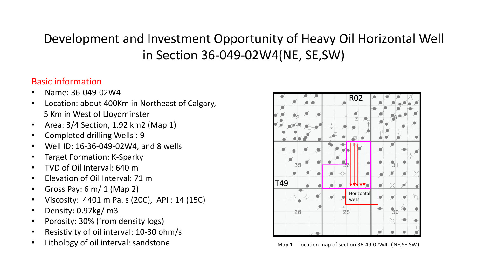# Development and Investment Opportunity of Heavy Oil Horizontal Well in Section 36-049-02W4(NE, SE,SW)

## Basic information

- Name: 36-049-02W4
- Location: about 400Km in Northeast of Calgary, 5 Km in West of Lloydminster
- Area: 3/4 Section, 1.92 km2 (Map 1)
- Completed drilling Wells : 9
- Well ID: 16-36-049-02W4, and 8 wells
- Target Formation: K-Sparky
- TVD of Oil Interval: 640 m
- Elevation of Oil Interval: 71 m
- Gross Pay: 6 m/ 1 (Map 2)
- Viscosity: 4401 m Pa. s (20C), API : 14 (15C)
- Density: 0.97kg/ m3
- Porosity: 30% (from density logs)
- Resistivity of oil interval: 10-30 ohm/s
- Lithology of oil interval: sandstone Map 1 Location map of section 36-49-02W4 (NE,SE,SW)

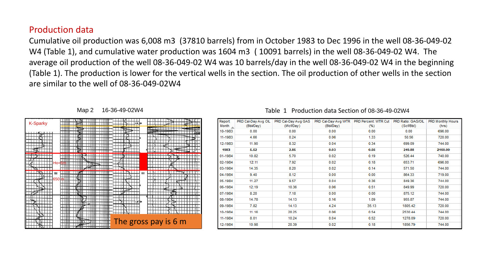## Production data

Cumulative oil production was 6,008 m3 (37810 barrels) from in October 1983 to Dec 1996 in the well 08-36-049-02 W4 (Table 1), and cumulative water production was 1604 m3 ( 10091 barrels) in the well 08-36-049-02 W4. The average oil production of the well 08-36-049-02 W4 was 10 barrels/day in the well 08-36-049-02 W4 in the beginning (Table 1). The production is lower for the vertical wells in the section. The oil production of other wells in the section are similar to the well of 08-36-049-02W4

| <b>K-Sparky</b> |                  |                       |                                |                                       |
|-----------------|------------------|-----------------------|--------------------------------|---------------------------------------|
|                 | ٣m<br>╥╥<br>mb   | N.<br>工工工工<br>啣<br>ЧШ | <b>HILL</b>                    | в<br><b>Service Service</b><br>π<br>л |
|                 | Ho=6m            |                       |                                |                                       |
| 650             | 650 <sub>m</sub> | łШ<br>ЧШТ<br>MIII     | 680<br>TTTII<br>designation of |                                       |
|                 |                  |                       |                                | a<br>ъ<br>The gross pay is 6 m        |

Map 2 16-36-49-02W4

| Report<br>Month | PRD Cal-Day Avg OIL<br>(Bbl/Day) | PRD Cal-Day Avg GAS<br>(Mcf/Day) | PRD Cal-Day Avg WTR<br>(Bbl/Day) | <b>PRD Percent: WTR Cut</b><br>(%) | PRD Ratio: GAS/OIL<br>(Scf/Bbl) | <b>PRD Monthly Hours</b><br>(hrs) |
|-----------------|----------------------------------|----------------------------------|----------------------------------|------------------------------------|---------------------------------|-----------------------------------|
| 10-1983         | 0.00                             | 0.00                             | 0.00                             | 0.00                               | 0.00                            | 696.00                            |
| 11-1983         | 4.66                             | 0.24                             | 0.06                             | 1.33                               | 50.56                           | 720.00                            |
| 12-1983         | 11.90                            | 8.32                             | 0.04                             | 0.34                               | 699.09                          | 744.00                            |
| 1983            | 5.52                             | 2.85                             | 0.03                             | 0.56                               | 249.88                          | 2160.00                           |
| 01-1984         | 10.82                            | 5.70                             | 0.02                             | 0.19                               | 526.44                          | 740.00                            |
| 02-1984         | 12.11                            | 7.92                             | 0.02                             | 0.18                               | 653.71                          | 696.00                            |
| 03-1984         | 14.35                            | 8.20                             | 0.02                             | 0.14                               | 571.50                          | 744.00                            |
| 04-1984         | 9.40                             | 8.12                             | 0.00                             | 0.00                               | 864.33                          | 719.00                            |
| 05-1984         | 11.27                            | 9.57                             | 0.04                             | 0.36                               | 849.36                          | 744.00                            |
| 06-1984         | 12.19                            | 10.36                            | 0.06                             | 0.51                               | 849.99                          | 720.00                            |
| 07-1984         | 8.20                             | 7.18                             | 0.00                             | 0.00                               | 875.12                          | 744.00                            |
| 08-1984         | 14.78                            | 14.13                            | 0.16                             | 1.09                               | 955.87                          | 744.00                            |
| 09-1984         | 7.82                             | 14.13                            | 4.24                             | 35.13                              | 1805.42                         | 720.00                            |
| 10-1984         | 11.16                            | 28.25                            | 0.06                             | 0.54                               | 2530.44                         | 744.00                            |
| 11-1984         | 8.01                             | 10.24                            | 0.04                             | 0.52                               | 1278.09                         | 720.00                            |
| 12-1984         | 10.98                            | 20.39                            | 0.02                             | 0.18                               | 1856.79                         | 744.00                            |

#### Table 1 Production data Section of 08-36-49-02W4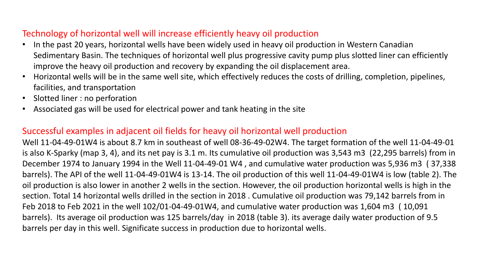## Technology of horizontal well will increase efficiently heavy oil production

- In the past 20 years, horizontal wells have been widely used in heavy oil production in Western Canadian Sedimentary Basin. The techniques of horizontal well plus progressive cavity pump plus slotted liner can efficiently improve the heavy oil production and recovery by expanding the oil displacement area.
- Horizontal wells will be in the same well site, which effectively reduces the costs of drilling, completion, pipelines, facilities, and transportation
- Slotted liner : no perforation
- Associated gas will be used for electrical power and tank heating in the site

## Successful examples in adjacent oil fields for heavy oil horizontal well production

Well 11-04-49-01W4 is about 8.7 km in southeast of well 08-36-49-02W4. The target formation of the well 11-04-49-01 is also K-Sparky (map 3, 4), and its net pay is 3.1 m. Its cumulative oil production was 3,543 m3 (22,295 barrels) from in December 1974 to January 1994 in the Well 11-04-49-01 W4 , and cumulative water production was 5,936 m3 ( 37,338 barrels). The API of the well 11-04-49-01W4 is 13-14. The oil production of this well 11-04-49-01W4 is low (table 2). The oil production is also lower in another 2 wells in the section. However, the oil production horizontal wells is high in the section. Total 14 horizontal wells drilled in the section in 2018 . Cumulative oil production was 79,142 barrels from in Feb 2018 to Feb 2021 in the well 102/01-04-49-01W4, and cumulative water production was 1,604 m3 ( 10,091 barrels). Its average oil production was 125 barrels/day in 2018 (table 3). its average daily water production of 9.5 barrels per day in this well. Significate success in production due to horizontal wells.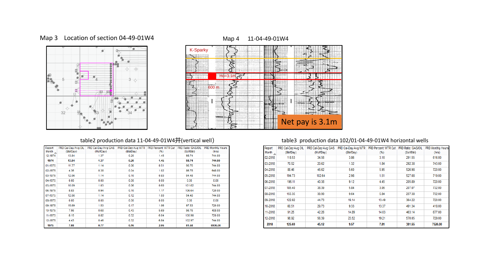#### Map 3 Location of section 04-49-01W4



### Map 4 11-04-49-01W4



### table2 production data 11-04-49-01W4井(vertical well) table3 production data 102/01-04-49-01W4 horizontal wells

| Report  | PRD Cal-Day Avg OIL | PRD Cal-Day Avg GAS | PRD Cal-Day Avg WTR | PRD Percent: WTR Cut | PRD Ratio: GAS/OIL | <b>PRD Monthly Hours</b> |
|---------|---------------------|---------------------|---------------------|----------------------|--------------------|--------------------------|
| Month   | (Bbl/Day)           | (Mcf/Day)           | (Bbl/Day)           | (%)                  | (Scf/Bbl)          | (hrs)                    |
| 12-1974 | 13.84               | 1.37                | 0.20                | 1.45                 | 98.74              | 744.00                   |
| 1974    | 13.84               | 1.37                | 0.20                | 1.45                 | 98.74              | 744.00                   |
| 01-1975 | 11.77               | 1.14                | 0.06                | 0.51                 | 96.76              | 744.00                   |
| 02-1975 | 4.36                | 0.38                | 0.04                | 1.02                 | 86.78              | 648.00                   |
| 03-1975 | 12.06               | 1.14                | 0.10                | 0.83                 | 94.48              | 744.00                   |
| 04-1975 | 0.00                | 0.00                | 0.00                | 0.00                 | 0.00               | 0.00                     |
| 05-1975 | 10.09               | 1.03                | 0.06                | 0.60                 | 101.62             | 744.00                   |
| 06-1975 | 8.83                | 0.94                | 0.10                | 1.17                 | 106.64             | 720.00                   |
| 07-1975 | 12.06               | 1.14                | 0.12                | 1.00                 | 94.48              | 744.00                   |
| 08-1975 | 0.00                | 0.00                | 0.00                | 0.00                 | 0.00               | 0.00                     |
| 09-1975 | 15.69               | 1.53                | 0.17                | 1.06                 | 97.53              | 720.00                   |
| 10-1975 | 7.06                | 0.68                | 0.43                | 5.69                 | 96.76              | 408.00                   |
| 11-1975 | 8.16                | 0.82                | 0.52                | 6.04                 | 100.98             | 720.00                   |
| 12-1975 | 4.43                | 0.46                | 0.32                | 6.84                 | 102.97             | 744.00                   |
| 1975    | 7.88                | 0.77                | 0.16                | 2.06                 | 81.58              | 6936.00                  |

| Report<br>Month | PRD Cal-Day Avg OIL<br>(Bbl/Day) | PRD Cal-Day Avg GAS<br>(Mcf/Day) | PRD Cal-Day Avg WTR<br>(Bbl/Day) | PRD Percent: WTR Cut<br>$(\%)$ | PRD Ratio: GAS/OIL<br>(Scf/Bbl) | <b>PRD Monthly Hours</b><br>(hrs) |
|-----------------|----------------------------------|----------------------------------|----------------------------------|--------------------------------|---------------------------------|-----------------------------------|
| 02-2018         | 118.53                           | 34.56                            | 3.86                             | 3.16                           | 291.55                          | 616.00                            |
| 03-2018         | 70.52                            | 20.62                            | 1.32                             | 1.84                           | 292.38                          | 743.00                            |
| 04-2018         | 88.46                            | 46.62                            | 5.60                             | 5.95                           | 526.98                          | 720.00                            |
| 05-2018         | 194.73                           | 102.64                           | 2.98                             | 1.51                           | 527.08                          | 719.00                            |
| 06-2018         | 196.11                           | 40.38                            | 9.12                             | 4.45                           | 205.89                          | 720.00                            |
| 07-2018         | 185.40                           | 38.39                            | 5.84                             | 3.06                           | 207.07                          | 732.00                            |
| 08-2018         | 155.35                           | 39.99                            | 9.64                             | 5.84                           | 257.38                          | 732.00                            |
| 09-2018         | 122.82                           | 44.73                            | 19.14                            | 13.49                          | 364.22                          | 720.00                            |
| 10-2018         | 60.51                            | 29.73                            | 9.33                             | 13.37                          | 491.34                          | 418.00                            |
| 11-2018         | 91.25                            | 42.26                            | 14.89                            | 14.03                          | 463.14                          | 677.00                            |
| 12-2018         | 98.92                            | 56.39                            | 23.52                            | 19.21                          | 570.05                          | 729.00                            |
| 2018            | 125.69                           | 45.12                            | 9.57                             | 7.81                           | 381.55                          | 7526.00                           |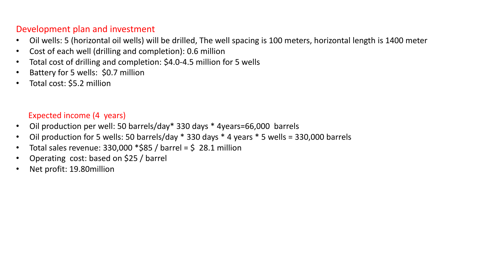## Development plan and investment

- Oil wells: 5 (horizontal oil wells) will be drilled, The well spacing is 100 meters, horizontal length is 1400 meter
- Cost of each well (drilling and completion): 0.6 million
- Total cost of drilling and completion: \$4.0-4.5 million for 5 wells
- Battery for 5 wells: \$0.7 million
- Total cost: \$5.2 million

## Expected income (4 years)

- Oil production per well: 50 barrels/day\* 330 days \* 4years=66,000 barrels
- Oil production for 5 wells: 50 barrels/day \* 330 days \* 4 years \* 5 wells = 330,000 barrels
- Total sales revenue:  $330,000$  \*\$85 / barrel = \$ 28.1 million
- Operating cost: based on \$25 / barrel
- Net profit: 19.80million